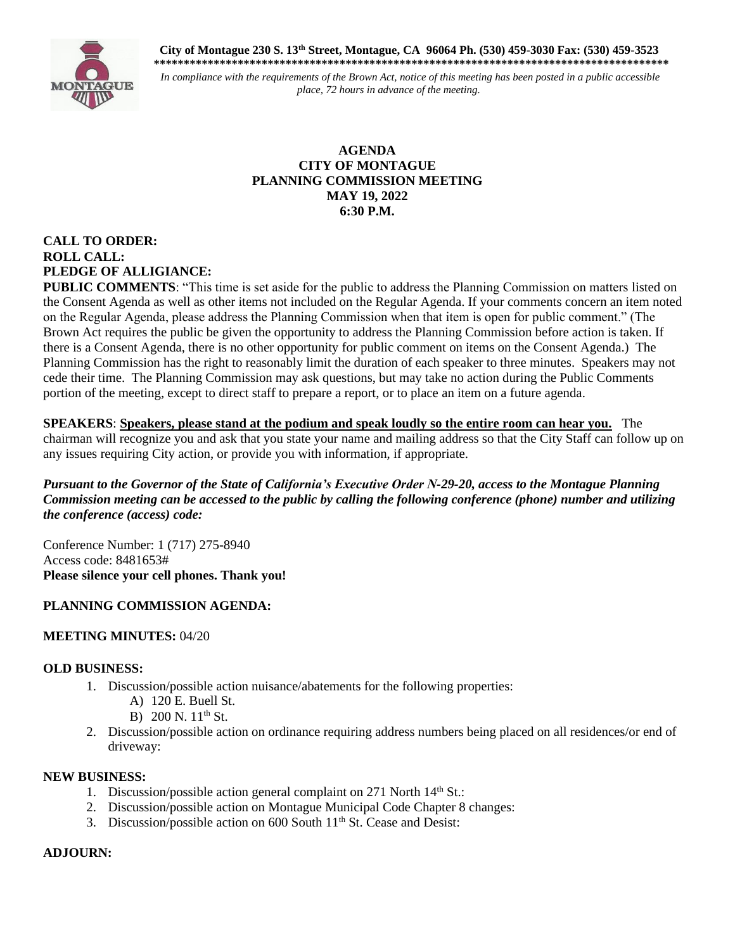**City of Montague 230 S. 13th Street, Montague, CA 96064 Ph. (530) 459-3030 Fax: (530) 459-3523 \*\*\*\*\*\*\*\*\*\*\*\*\*\*\*\*\*\*\*\*\*\*\*\*\*\*\*\*\*\*\*\*\*\*\*\*\*\*\*\*\*\*\*\*\*\*\*\*\*\*\*\*\*\*\*\*\*\*\*\*\*\*\*\*\*\*\*\*\*\*\*\*\*\*\*\*\*\*\*\*\*\*\*\*\*\***



*In compliance with the requirements of the Brown Act, notice of this meeting has been posted in a public accessible place, 72 hours in advance of the meeting.*

### **AGENDA CITY OF MONTAGUE PLANNING COMMISSION MEETING MAY 19, 2022 6:30 P.M.**

# **CALL TO ORDER: ROLL CALL: PLEDGE OF ALLIGIANCE:**

**PUBLIC COMMENTS:** "This time is set aside for the public to address the Planning Commission on matters listed on the Consent Agenda as well as other items not included on the Regular Agenda. If your comments concern an item noted on the Regular Agenda, please address the Planning Commission when that item is open for public comment." (The Brown Act requires the public be given the opportunity to address the Planning Commission before action is taken. If there is a Consent Agenda, there is no other opportunity for public comment on items on the Consent Agenda.) The Planning Commission has the right to reasonably limit the duration of each speaker to three minutes. Speakers may not cede their time. The Planning Commission may ask questions, but may take no action during the Public Comments portion of the meeting, except to direct staff to prepare a report, or to place an item on a future agenda.

**SPEAKERS**: **Speakers, please stand at the podium and speak loudly so the entire room can hear you.** The chairman will recognize you and ask that you state your name and mailing address so that the City Staff can follow up on any issues requiring City action, or provide you with information, if appropriate.

*Pursuant to the Governor of the State of California's Executive Order N-29-20, access to the Montague Planning Commission meeting can be accessed to the public by calling the following conference (phone) number and utilizing the conference (access) code:*

Conference Number: 1 (717) 275-8940 Access code: 8481653# **Please silence your cell phones. Thank you!** 

## **PLANNING COMMISSION AGENDA:**

## **MEETING MINUTES:** 04/20

### **OLD BUSINESS:**

- 1. Discussion/possible action nuisance/abatements for the following properties:
	- A) 120 E. Buell St.
	- B) 200 N.  $11^{th}$  St.
- 2. Discussion/possible action on ordinance requiring address numbers being placed on all residences/or end of driveway:

### **NEW BUSINESS:**

- 1. Discussion/possible action general complaint on 271 North  $14<sup>th</sup>$  St.:
- 2. Discussion/possible action on Montague Municipal Code Chapter 8 changes:
- 3. Discussion/possible action on  $600$  South  $11<sup>th</sup>$  St. Cease and Desist:

### **ADJOURN:**